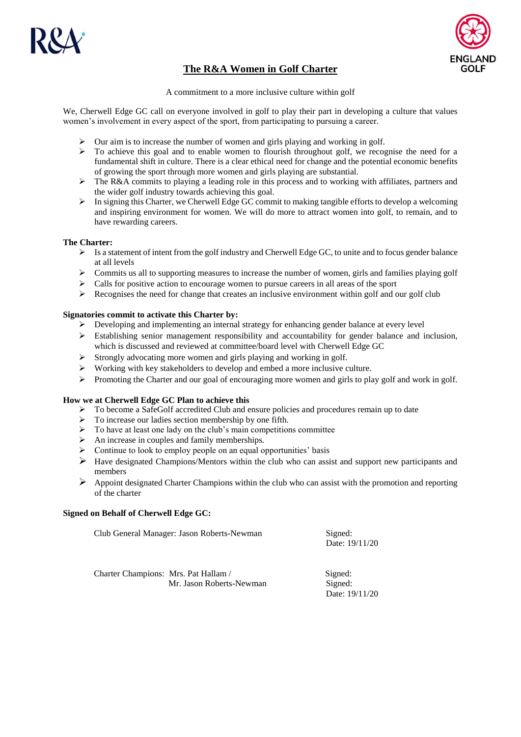



# **The R&A Women in Golf Charter**

A commitment to a more inclusive culture within golf

We, Cherwell Edge GC call on everyone involved in golf to play their part in developing a culture that values women's involvement in every aspect of the sport, from participating to pursuing a career.

- $\triangleright$  Our aim is to increase the number of women and girls playing and working in golf.
- $\triangleright$  To achieve this goal and to enable women to flourish throughout golf, we recognise the need for a fundamental shift in culture. There is a clear ethical need for change and the potential economic benefits of growing the sport through more women and girls playing are substantial.
- $\geq$  The R&A commits to playing a leading role in this process and to working with affiliates, partners and the wider golf industry towards achieving this goal.
- $\triangleright$  In signing this Charter, we Cherwell Edge GC commit to making tangible efforts to develop a welcoming and inspiring environment for women. We will do more to attract women into golf, to remain, and to have rewarding careers.

# **The Charter:**

- $\triangleright$  Is a statement of intent from the golf industry and Cherwell Edge GC, to unite and to focus gender balance at all levels
- $\triangleright$  Commits us all to supporting measures to increase the number of women, girls and families playing golf
- $\triangleright$  Calls for positive action to encourage women to pursue careers in all areas of the sport
- Recognises the need for change that creates an inclusive environment within golf and our golf club

# **Signatories commit to activate this Charter by:**

- $\triangleright$  Developing and implementing an internal strategy for enhancing gender balance at every level
- Establishing senior management responsibility and accountability for gender balance and inclusion, which is discussed and reviewed at committee/board level with Cherwell Edge GC
- $\triangleright$  Strongly advocating more women and girls playing and working in golf.
- Working with key stakeholders to develop and embed a more inclusive culture.
- Promoting the Charter and our goal of encouraging more women and girls to play golf and work in golf.

### **How we at Cherwell Edge GC Plan to achieve this**

- $\triangleright$  To become a SafeGolf accredited Club and ensure policies and procedures remain up to date
- $\triangleright$  To increase our ladies section membership by one fifth.
- $\triangleright$  To have at least one lady on the club's main competitions committee
- $\triangleright$  An increase in couples and family memberships.
- $\triangleright$  Continue to look to employ people on an equal opportunities' basis
- $\triangleright$  Have designated Champions/Mentors within the club who can assist and support new participants and members
- $\triangleright$  Appoint designated Charter Champions within the club who can assist with the promotion and reporting of the charter

### **Signed on Behalf of Cherwell Edge GC:**

Club General Manager: Jason Roberts-Newman Signed: Date: 19/11/20

| Charter Champions: Mrs. Pat Hallam / |                          | Signed:        |
|--------------------------------------|--------------------------|----------------|
|                                      | Mr. Jason Roberts-Newman | Signed:        |
|                                      |                          | Date: 19/11/20 |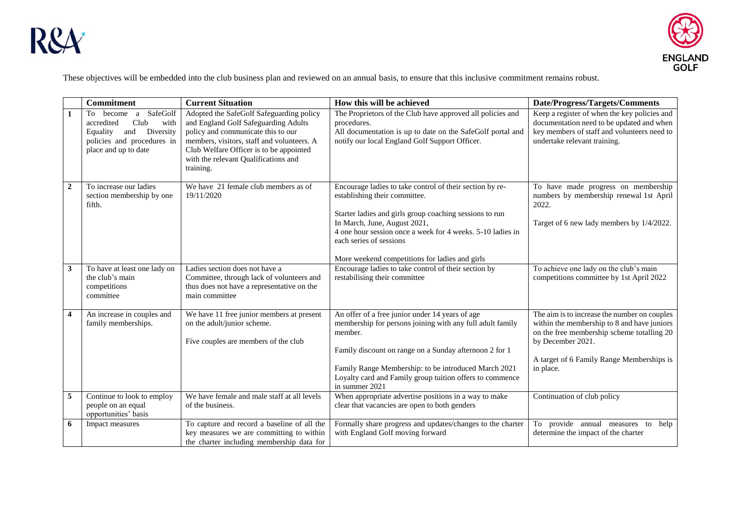



These objectives will be embedded into the club business plan and reviewed on an annual basis, to ensure that this inclusive commitment remains robust.

|                | <b>Commitment</b>                                                                                                                           | <b>Current Situation</b>                                                                                                                                                                                                                                             | How this will be achieved                                                                                                                                                                                                                                                                                                       | Date/Progress/Targets/Comments                                                                                                                                                                                           |
|----------------|---------------------------------------------------------------------------------------------------------------------------------------------|----------------------------------------------------------------------------------------------------------------------------------------------------------------------------------------------------------------------------------------------------------------------|---------------------------------------------------------------------------------------------------------------------------------------------------------------------------------------------------------------------------------------------------------------------------------------------------------------------------------|--------------------------------------------------------------------------------------------------------------------------------------------------------------------------------------------------------------------------|
| 1              | SafeGolf<br>To become<br>a<br>Club<br>accredited<br>with<br>and Diversity<br>Equality<br>policies and procedures in<br>place and up to date | Adopted the SafeGolf Safeguarding policy<br>and England Golf Safeguarding Adults<br>policy and communicate this to our<br>members, visitors, staff and volunteers. A<br>Club Welfare Officer is to be appointed<br>with the relevant Qualifications and<br>training. | The Proprietors of the Club have approved all policies and<br>procedures.<br>All documentation is up to date on the SafeGolf portal and<br>notify our local England Golf Support Officer.                                                                                                                                       | Keep a register of when the key policies and<br>documentation need to be updated and when<br>key members of staff and volunteers need to<br>undertake relevant training.                                                 |
| $\overline{2}$ | To increase our ladies<br>section membership by one<br>fifth.                                                                               | We have 21 female club members as of<br>19/11/2020                                                                                                                                                                                                                   | Encourage ladies to take control of their section by re-<br>establishing their committee.<br>Starter ladies and girls group coaching sessions to run<br>In March, June, August 2021,<br>4 one hour session once a week for 4 weeks. 5-10 ladies in<br>each series of sessions<br>More weekend competitions for ladies and girls | To have made progress on membership<br>numbers by membership renewal 1st April<br>2022.<br>Target of 6 new lady members by 1/4/2022.                                                                                     |
| 3              | To have at least one lady on<br>the club's main<br>competitions<br>committee                                                                | Ladies section does not have a<br>Committee, through lack of volunteers and<br>thus does not have a representative on the<br>main committee                                                                                                                          | Encourage ladies to take control of their section by<br>restabilising their committee                                                                                                                                                                                                                                           | To achieve one lady on the club's main<br>competitions committee by 1st April 2022                                                                                                                                       |
| 4              | An increase in couples and<br>family memberships.                                                                                           | We have 11 free junior members at present<br>on the adult/junior scheme.<br>Five couples are members of the club                                                                                                                                                     | An offer of a free junior under 14 years of age<br>membership for persons joining with any full adult family<br>member.<br>Family discount on range on a Sunday afternoon 2 for 1<br>Family Range Membership: to be introduced March 2021<br>Loyalty card and Family group tuition offers to commence<br>in summer 2021         | The aim is to increase the number on couples<br>within the membership to 8 and have juniors<br>on the free membership scheme totalling 20<br>by December 2021.<br>A target of 6 Family Range Memberships is<br>in place. |
| 5              | Continue to look to employ<br>people on an equal<br>opportunities' basis                                                                    | We have female and male staff at all levels<br>of the business.                                                                                                                                                                                                      | When appropriate advertise positions in a way to make<br>clear that vacancies are open to both genders                                                                                                                                                                                                                          | Continuation of club policy                                                                                                                                                                                              |
| 6              | Impact measures                                                                                                                             | To capture and record a baseline of all the<br>key measures we are committing to within<br>the charter including membership data for                                                                                                                                 | Formally share progress and updates/changes to the charter<br>with England Golf moving forward                                                                                                                                                                                                                                  | To provide annual measures to<br>help<br>determine the impact of the charter                                                                                                                                             |